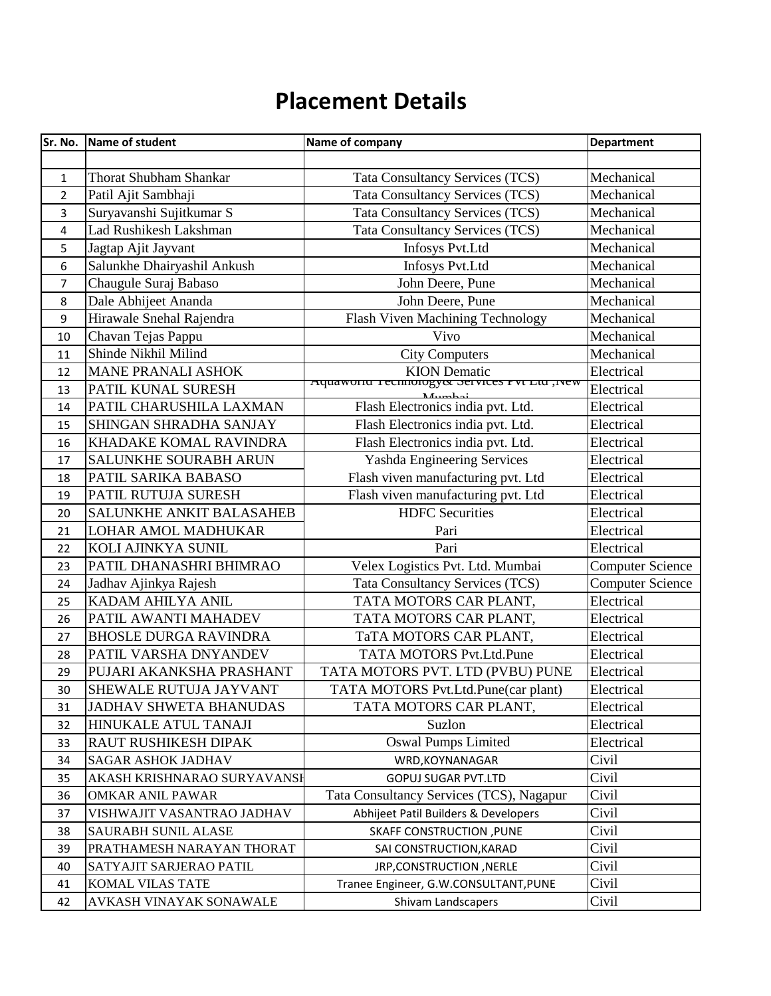## **Placement Details**

|                | Sr. No. Name of student       | Name of company                              | <b>Department</b>       |
|----------------|-------------------------------|----------------------------------------------|-------------------------|
|                |                               |                                              |                         |
| $\mathbf{1}$   | <b>Thorat Shubham Shankar</b> | Tata Consultancy Services (TCS)              | Mechanical              |
| $\overline{2}$ | Patil Ajit Sambhaji           | <b>Tata Consultancy Services (TCS)</b>       | Mechanical              |
| 3              | Suryavanshi Sujitkumar S      | <b>Tata Consultancy Services (TCS)</b>       | Mechanical              |
| 4              | Lad Rushikesh Lakshman        | <b>Tata Consultancy Services (TCS)</b>       | Mechanical              |
| 5              | Jagtap Ajit Jayvant           | Infosys Pvt.Ltd                              | Mechanical              |
| 6              | Salunkhe Dhairyashil Ankush   | Infosys Pvt.Ltd                              | Mechanical              |
| $\overline{7}$ | Chaugule Suraj Babaso         | John Deere, Pune                             | Mechanical              |
| 8              | Dale Abhijeet Ananda          | John Deere, Pune                             | Mechanical              |
| 9              | Hirawale Snehal Rajendra      | Flash Viven Machining Technology             | Mechanical              |
| 10             | Chavan Tejas Pappu            | <b>Vivo</b>                                  | Mechanical              |
| 11             | Shinde Nikhil Milind          | <b>City Computers</b>                        | Mechanical              |
| 12             | <b>MANE PRANALI ASHOK</b>     | <b>KION</b> Dematic                          | Electrical              |
| 13             | PATIL KUNAL SURESH            | Aquawonu rechnology& Services r vt Ltu, ivew | Electrical              |
| 14             | PATIL CHARUSHILA LAXMAN       | Flash Electronics india pvt. Ltd.            | Electrical              |
| 15             | SHINGAN SHRADHA SANJAY        | Flash Electronics india pvt. Ltd.            | Electrical              |
| 16             | KHADAKE KOMAL RAVINDRA        | Flash Electronics india pvt. Ltd.            | Electrical              |
| 17             | SALUNKHE SOURABH ARUN         | Yashda Engineering Services                  | Electrical              |
| 18             | PATIL SARIKA BABASO           | Flash viven manufacturing pvt. Ltd           | Electrical              |
| 19             | PATIL RUTUJA SURESH           | Flash viven manufacturing pvt. Ltd           | Electrical              |
| 20             | SALUNKHE ANKIT BALASAHEB      | <b>HDFC</b> Securities                       | Electrical              |
| 21             | LOHAR AMOL MADHUKAR           | Pari                                         | Electrical              |
| 22             | KOLI AJINKYA SUNIL            | Pari                                         | Electrical              |
| 23             | PATIL DHANASHRI BHIMRAO       | Velex Logistics Pvt. Ltd. Mumbai             | <b>Computer Science</b> |
| 24             | Jadhav Ajinkya Rajesh         | Tata Consultancy Services (TCS)              | <b>Computer Science</b> |
| 25             | KADAM AHILYA ANIL             | TATA MOTORS CAR PLANT,                       | Electrical              |
| 26             | PATIL AWANTI MAHADEV          | TATA MOTORS CAR PLANT,                       | Electrical              |
| 27             | <b>BHOSLE DURGA RAVINDRA</b>  | TaTA MOTORS CAR PLANT,                       | Electrical              |
| 28             | PATIL VARSHA DNYANDEV         | TATA MOTORS Pvt.Ltd.Pune                     | Electrical              |
| 29             | PUJARI AKANKSHA PRASHANT      | TATA MOTORS PVT. LTD (PVBU) PUNE             | Electrical              |
| 30             | SHEWALE RUTUJA JAYVANT        | TATA MOTORS Pvt.Ltd.Pune(car plant)          | Electrical              |
| 31             | <b>JADHAV SHWETA BHANUDAS</b> | TATA MOTORS CAR PLANT,                       | Electrical              |
| 32             | HINUKALE ATUL TANAJI          | Suzlon                                       | Electrical              |
| 33             | RAUT RUSHIKESH DIPAK          | <b>Oswal Pumps Limited</b>                   | Electrical              |
| 34             | <b>SAGAR ASHOK JADHAV</b>     | WRD, KOYNANAGAR                              | Civil                   |
| 35             | AKASH KRISHNARAO SURYAVANSI   | GOPUJ SUGAR PVT.LTD                          | Civil                   |
| 36             | <b>OMKAR ANIL PAWAR</b>       | Tata Consultancy Services (TCS), Nagapur     | Civil                   |
| 37             | VISHWAJIT VASANTRAO JADHAV    | Abhijeet Patil Builders & Developers         | Civil                   |
| 38             | SAURABH SUNIL ALASE           | SKAFF CONSTRUCTION , PUNE                    | Civil                   |
| 39             | PRATHAMESH NARAYAN THORAT     | SAI CONSTRUCTION, KARAD                      | Civil                   |
| 40             | SATYAJIT SARJERAO PATIL       | JRP,CONSTRUCTION, NERLE                      | Civil                   |
| 41             | KOMAL VILAS TATE              | Tranee Engineer, G.W.CONSULTANT, PUNE        | Civil                   |
| 42             | AVKASH VINAYAK SONAWALE       | Shivam Landscapers                           | Civil                   |